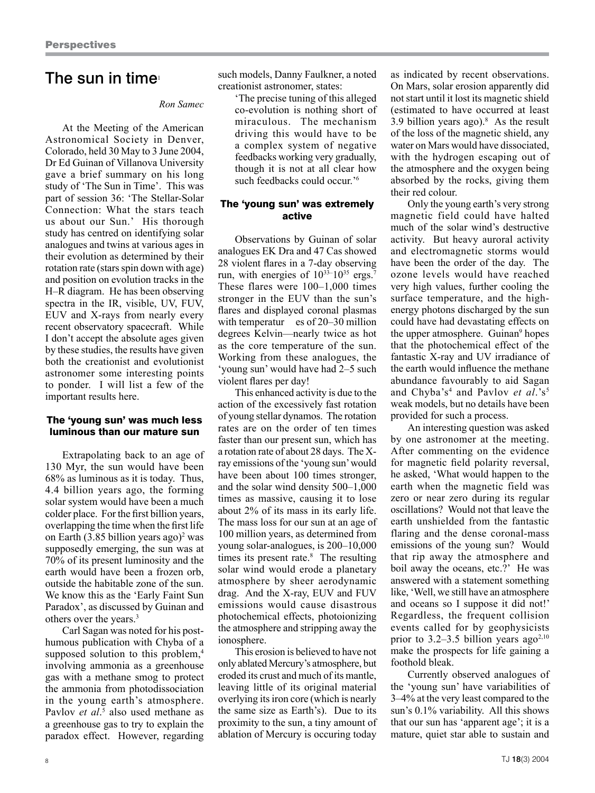# The sun in time $\mathbf{I}$

### *Ron Samec*

At the Meeting of the American Astronomical Society in Denver, Colorado, held 30 May to 3 June 2004, Dr Ed Guinan of Villanova University gave a brief summary on his long study of 'The Sun in Time'. This was part of session 36: 'The Stellar-Solar Connection: What the stars teach us about our Sun.' His thorough study has centred on identifying solar analogues and twins at various ages in their evolution as determined by their rotation rate (stars spin down with age) and position on evolution tracks in the H–R diagram. He has been observing spectra in the IR, visible, UV, FUV, EUV and X-rays from nearly every recent observatory spacecraft. While I don't accept the absolute ages given by these studies, the results have given both the creationist and evolutionist astronomer some interesting points to ponder. I will list a few of the important results here.

#### The 'young sun' was much less luminous than our mature sun

Extrapolating back to an age of 130 Myr, the sun would have been 68% as luminous as it is today. Thus, 4.4 billion years ago, the forming solar system would have been a much colder place. For the first billion years, overlapping the time when the first life on Earth  $(3.85 \text{ billion years ago})^2$  was supposedly emerging, the sun was at 70% of its present luminosity and the earth would have been a frozen orb, outside the habitable zone of the sun. We know this as the 'Early Faint Sun Paradox', as discussed by Guinan and others over the years.<sup>3</sup>

Carl Sagan was noted for his posthumous publication with Chyba of a supposed solution to this problem,<sup>4</sup> involving ammonia as a greenhouse gas with a methane smog to protect the ammonia from photodissociation in the young earth's atmosphere. Pavlov *et al.*<sup>5</sup> also used methane as a greenhouse gas to try to explain the paradox effect. However, regarding

such models, Danny Faulkner, a noted creationist astronomer, states:

'The precise tuning of this alleged co-evolution is nothing short of miraculous. The mechanism driving this would have to be a complex system of negative feedbacks working very gradually, though it is not at all clear how such feedbacks could occur.'6

## The 'young sun' was extremely active

Observations by Guinan of solar analogues EK Dra and 47 Cas showed 28 violent flares in a 7-day observing run, with energies of  $10^{33-10^{35}}$  ergs.<sup>7</sup> These flares were 100–1,000 times stronger in the EUV than the sun's flares and displayed coronal plasmas with temperatur es of 20–30 million degrees Kelvin—nearly twice as hot as the core temperature of the sun. Working from these analogues, the 'young sun' would have had 2–5 such violent flares per day!

This enhanced activity is due to the action of the excessively fast rotation of young stellar dynamos. The rotation rates are on the order of ten times faster than our present sun, which has a rotation rate of about 28 days. The Xray emissions of the 'young sun' would have been about 100 times stronger, and the solar wind density 500–1,000 times as massive, causing it to lose about 2% of its mass in its early life. The mass loss for our sun at an age of 100 million years, as determined from young solar-analogues, is 200–10,000 times its present rate.<sup>8</sup> The resulting solar wind would erode a planetary atmosphere by sheer aerodynamic drag. And the X-ray, EUV and FUV emissions would cause disastrous photochemical effects, photoionizing the atmosphere and stripping away the ionosphere.

This erosion is believed to have not only ablated Mercury's atmosphere, but eroded its crust and much of its mantle, leaving little of its original material overlying its iron core (which is nearly the same size as Earth's). Due to its proximity to the sun, a tiny amount of ablation of Mercury is occuring today

as indicated by recent observations. On Mars, solar erosion apparently did not start until it lost its magnetic shield (estimated to have occurred at least 3.9 billion years ago). $8$  As the result of the loss of the magnetic shield, any water on Mars would have dissociated, with the hydrogen escaping out of the atmosphere and the oxygen being absorbed by the rocks, giving them their red colour.

Only the young earth's very strong magnetic field could have halted much of the solar wind's destructive activity. But heavy auroral activity and electromagnetic storms would have been the order of the day. The ozone levels would have reached very high values, further cooling the surface temperature, and the highenergy photons discharged by the sun could have had devastating effects on the upper atmosphere. Guinan<sup>9</sup> hopes that the photochemical effect of the fantastic X-ray and UV irradiance of the earth would influence the methane abundance favourably to aid Sagan and Chyba's<sup>4</sup> and Pavlov *et al*.'s<sup>5</sup> weak models, but no details have been provided for such a process.

An interesting question was asked by one astronomer at the meeting. After commenting on the evidence for magnetic field polarity reversal, he asked, 'What would happen to the earth when the magnetic field was zero or near zero during its regular oscillations? Would not that leave the earth unshielded from the fantastic flaring and the dense coronal-mass emissions of the young sun? Would that rip away the atmosphere and boil away the oceans, etc.?' He was answered with a statement something like, 'Well, we still have an atmosphere and oceans so I suppose it did not!' Regardless, the frequent collision events called for by geophysicists prior to 3.2–3.5 billion years  $ago^{2,10}$ make the prospects for life gaining a foothold bleak.

Currently observed analogues of the 'young sun' have variabilities of 3–4% at the very least compared to the sun's 0.1% variability. All this shows that our sun has 'apparent age'; it is a mature, quiet star able to sustain and